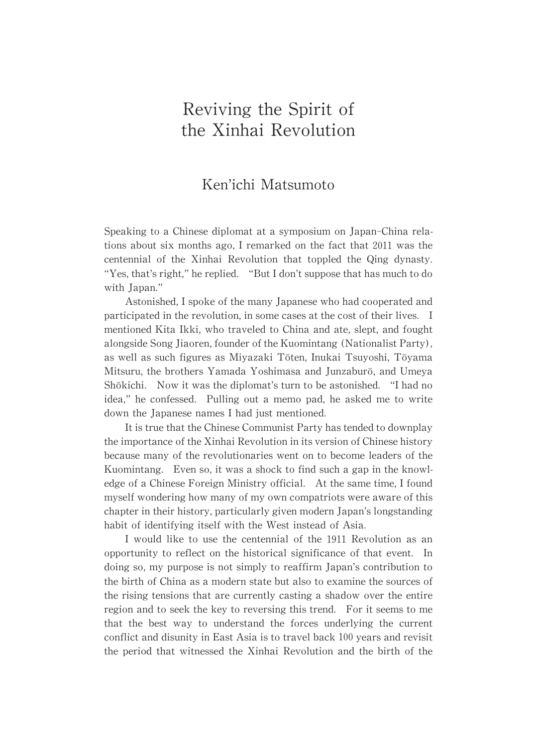# Reviving the Spirit of the Xinhai Revolution

# Ken'ichi Matsumoto

Speaking to a Chinese diplomat at a symposium on Japan-China relations about six months ago, I remarked on the fact that 2011was the centennial of the Xinhai Revolution that toppled the Qing dynasty. "Yes, that's right," he replied. "But I don't suppose that has much to do with Japan."

Astonished, I spoke of the many Japanese who had cooperated and participated in the revolution, in some cases at the cost of their lives. I mentioned Kita Ikki, who traveled to China and ate, slept, and fought alongside Song Jiaoren, founder of the Kuomintang (Nationalist Party), as well as such figures as Miyazaki Tōten, Inukai Tsuyoshi, Tōyama Mitsuru, the brothers Yamada Yoshimasa and Junzaburō, and Umeya Shōkichi. Now it was the diplomat's turn to be astonished. "I had no idea," he confessed. Pulling out a memo pad, he asked me to write down the Japanese names I had just mentioned.

It is true that the Chinese Communist Party has tended to downplay the importance of the Xinhai Revolution in its version of Chinese history because many of the revolutionaries went on to become leaders of the Kuomintang. Even so, it was a shock to find such a gap in the knowledge of a Chinese Foreign Ministry official. At the same time, I found myself wondering how many of my own compatriots were aware of this chapter in their history, particularly given modern Japan's longstanding habit of identifying itself with the West instead of Asia.

I would like to use the centennial of the 1911 Revolution as an opportunity to reflect on the historical significance of that event. In doing so,my purpose is not simply to reaffirm Japan's contribution to the birth of China as a modern state but also to examine the sources of the rising tensions that are currently casting a shadow over the entire region and to seek thekeyto reversing this trend. For it seems to me that the best way to understand the forces underlying the current conflict and disunity in East Asia is to travel back 100 years and revisit the period that witnessed the Xinhai Revolution and the birth of the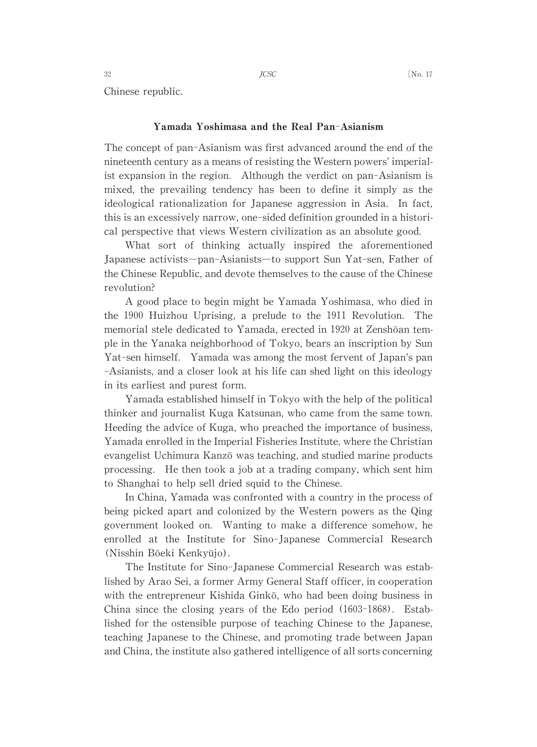Chinese republic.

### Yamada Yoshimasa and the Real Pan-Asianism

The concept of pan-Asianism was first advanced around the end of the nineteenth century as a means of resisting the Western powers' imperialist expansion in the region. Although the verdict on pan-Asianism is mixed, the prevailing tendency has been to define it simply as the ideological rationalization for Japanese aggression in Asia. In fact, this is an excessively narrow, one-sided definition grounded in a historical perspective that views Western civilization as an absolute good.

What sort of thinking actually inspired the aforementioned Japanese activists―pan-Asianists―to support Sun Yat-sen, Father of the Chinese Republic, and devote themselves to the cause of the Chinese revolution?

A good place to begin might be Yamada Yoshimasa, who died in the 1900 Huizhou Uprising, a prelude to the 1911 Revolution. The memorial stele dedicated to Yamada, erected in 1920 at Zenshōan temple in the Yanaka neighborhood of Tokyo, bears an inscription by Sun Yat-sen himself. Yamada was among the most fervent of Japan's pan -Asianists, and a closer look at his life can shed light on this ideology in its earliest and purest form.

Yamada established himself in Tokyo with the help of the political thinker and journalist Kuga Katsunan, who came from the same town. Heeding the advice of Kuga, who preached the importance of business, Yamada enrolled in the Imperial Fisheries Institute, where the Christian evangelist Uchimura Kanzō was teaching, and studied marine products processing. He then took a job at a trading company, which sent him to Shanghai to help sell dried squid to the Chinese.

In China, Yamada was confronted with a country in the process of being picked apart and colonized by the Western powers as the Qing government looked on. Wanting to make a difference somehow, he enrolled at the Institute for Sino-Japanese Commercial Research (Nisshin Bōeki Kenkyūjo).

The Institute for Sino-Japanese Commercial Research was established by Arao Sei, a former Army General Staff officer, in cooperation with the entrepreneur Kishida Ginkō, who had been doing business in China since the closing years of the Edo period (1603-1868). Established for the ostensible purpose of teaching Chinese to the Japanese, teaching Japanese to the Chinese, and promoting trade between Japan and China, the institute also gathered intelligence of all sorts concerning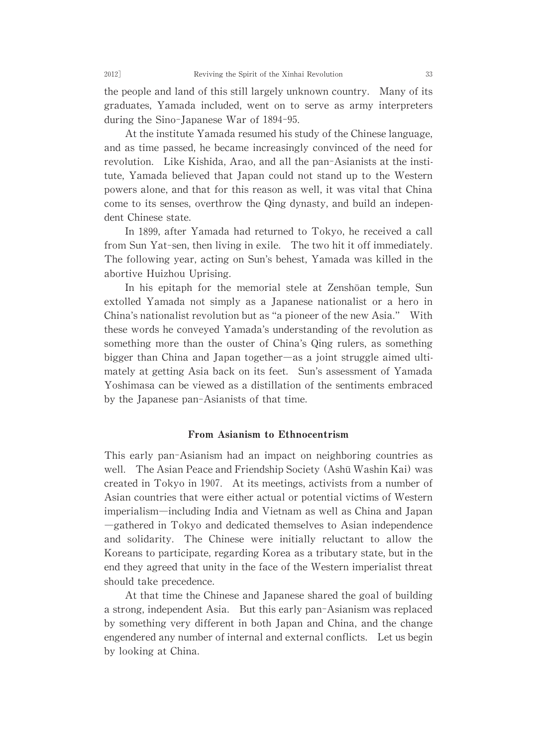the people and land of this still largely unknown country. Many of its graduates, Yamada included, went on to serve as army interpreters during the Sino-Japanese War of 1894-95.

At the institute Yamada resumed his study of the Chinese language, and as time passed, he became increasingly convinced of the need for revolution. Like Kishida, Arao, and all the pan-Asianists at the institute, Yamada believed that Japan could not stand up to the Western powers alone, and that for this reason as well, it was vital that China come to its senses, overthrow the Qing dynasty, and build an independent Chinese state.

In 1899, after Yamada had returned to Tokyo, he received a call from Sun Yat-sen, then living in exile. The two hit it off immediately. The following year, acting on Sun's behest, Yamada was killed in the abortive Huizhou Uprising.

In his epitaph for the memorial stele at Zenshōan temple, Sun extolled Yamada not simply as a Japanese nationalist or a hero in China's nationalist revolution but as "a pioneer of the new Asia." With these words he conveyed Yamada's understanding of the revolution as something more than the ouster of China's Qing rulers, as something bigger than China and Japan together―as a joint struggle aimed ultimately at getting Asia back on its feet. Sun's assessment of Yamada Yoshimasa can be viewed as a distillation of the sentiments embraced by the Japanese pan-Asianists of that time.

## From Asianism to Ethnocentrism

This early pan-Asianism had an impact on neighboring countries as well. The Asian Peace and Friendship Society (Ashū Washin Kai) was created in Tokyo in 1907. At its meetings, activists from a number of Asian countries that were either actual or potential victims of Western imperialism―including India and Vietnam as well as China and Japan ―gathered in Tokyo and dedicated themselves to Asian independence and solidarity. The Chinese were initially reluctant to allow the Koreans to participate, regarding Korea as a tributary state, but in the end they agreed that unity in the face of the Western imperialist threat should take precedence.

At that time the Chinese and Japanese shared the goal of building a strong, independent Asia. But this early pan-Asianism was replaced by something very different in both Japan and China, and the change engendered any number of internal and external conflicts. Let us begin by looking at China.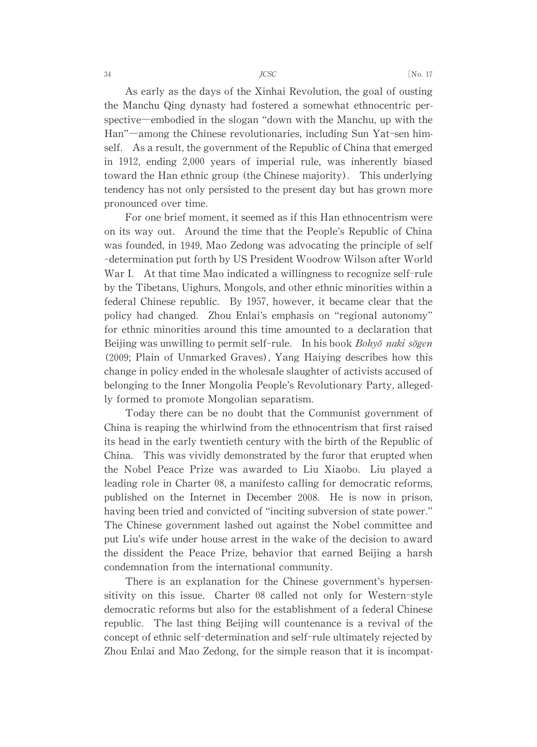As early as the days of the Xinhai Revolution, the goal of ousting the Manchu Qing dynasty had fostered a somewhat ethnocentric perspective—embodied in the slogan "down with the Manchu, up with the Han"―among the Chinese revolutionaries, including Sun Yat-sen himself. As a result, the government of the Republic of China that emerged in 1912, ending 2,000 years of imperial rule, was inherently biased toward the Han ethnic group (the Chinese majority). This underlying tendency has not only persisted to the present day but has grown more pronounced over time.

For one brief moment, it seemed as if this Han ethnocentrism were on its way out. Around the time that the People's Republic of China was founded, in 1949, Mao Zedong was advocating the principle of self -determination put forth by US President Woodrow Wilson after World War I. At that time Mao indicated a willingness to recognize self-rule by the Tibetans, Uighurs, Mongols, and other ethnic minorities within a federal Chinese republic. By 1957, however, it became clear that the policy had changed. Zhou Enlai's emphasis on "regional autonomy" for ethnic minorities around this time amounted to a declaration that Beijing was unwilling to permit self-rule. In his book Bohyō naki sōgen (2009;Plain of Unmarked Graves), Yang Haiying describes how this change in policy ended in the wholesale slaughter of activists accused of belonging to the Inner Mongolia People's Revolutionary Party, allegedly formed to promote Mongolian separatism.

Today there can be no doubt that the Communist government of China is reaping the whirlwind from the ethnocentrism that first raised its head in the early twentieth century with the birth of the Republic of China. This was vividly demonstrated by the furor that erupted when the Nobel Peace Prize was awarded to Liu Xiaobo. Liu played a leading role in Charter 08, a manifesto calling for democratic reforms, published on the Internet in December 2008. He is now in prison, having been tried and convicted of "inciting subversion of state power." The Chinese government lashed out against the Nobel committee and put Liu's wife under house arrest in the wake of the decision to award the dissident the Peace Prize, behavior that earned Beijing a harsh condemnation from the international community.

There is an explanation for the Chinese government's hypersensitivity on this issue. Charter 08 called not only for Western-style democratic reforms but also for the establishment of a federal Chinese republic. The last thing Beijing will countenance is a revival of the concept of ethnic self-determination and self-rule ultimately rejected by Zhou Enlai and Mao Zedong, for the simple reason that it is incompat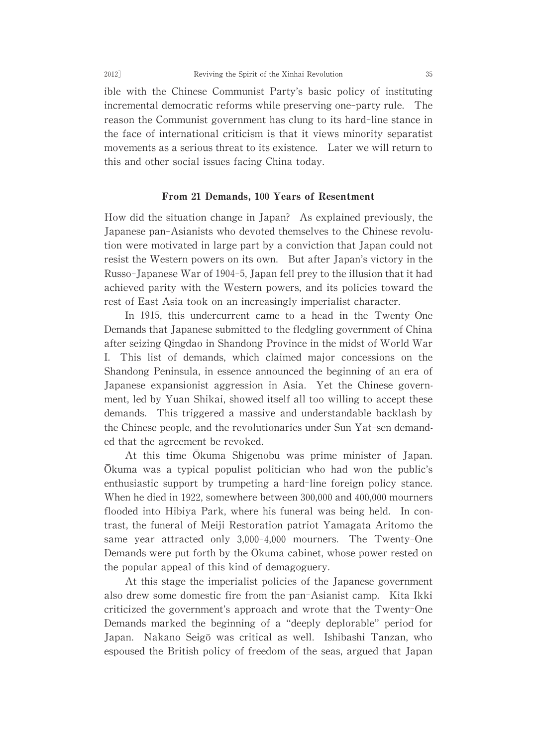ible with the Chinese Communist Party's basic policy of instituting incremental democratic reforms while preserving one-party rule. The reason the Communist government has clung to its hard-line stance in the face of international criticism is that it views minority separatist movements as a serious threat to its existence. Later we will return to this and other social issues facing China today.

### From 21 Demands, 100 Years of Resentment

How did the situation change in Japan? As explained previously, the Japanese pan-Asianists who devoted themselves to the Chineserevolution were motivated in large part by a conviction that Japan could not resist the Western powers on its own. But after Japan's victory in the Russo-Japanese War of 1904-5, Japan fell prey to the illusion that it had achieved parity with the Western powers, and its policies toward the rest of East Asia took on an increasingly imperialist character.

In 1915, this undercurrent came to a head in the Twenty-One Demands that Japanese submitted to the fledgling government of China after seizing Qingdao in Shandong Province in the midst of World War I. This list of demands, which claimed major concessions on the Shandong Peninsula, in essence announced the beginning of an era of Japanese expansionist aggression in Asia. Yet the Chinese government, led by Yuan Shikai, showed itself all too willing to accept these demands. This triggered a massive and understandable backlash by the Chinese people, and the revolutionaries under Sun Yat-sen demanded that the agreement be revoked.

At this time Okuma Shigenobu was prime minister of Japan. ¯Okuma was a typical populist politician who had won the public's enthusiastic support by trumpeting a hard-line foreign policy stance. When he died in 1922, somewhere between 300,000 and 400,000 mourners flooded into Hibiya Park, where his funeral was being held. In contrast, the funeral of Meiji Restoration patriot Yamagata Aritomo the same year attracted only 3,000-4,000 mourners. The Twenty-One Demands were put forth by the  $\overline{O}$ kuma cabinet, whose power rested on the popular appeal of this kind of demagoguery.

At this stage the imperialist policies of the Japanese government also drew some domestic fire from the pan-Asianist camp. Kita Ikki criticized the government's approach and wrote that the Twenty-One Demands marked the beginning of a "deeply deplorable" period for Japan. Nakano Seigō was critical as well. Ishibashi Tanzan, who espoused the British policy of freedom of the seas, argued that Japan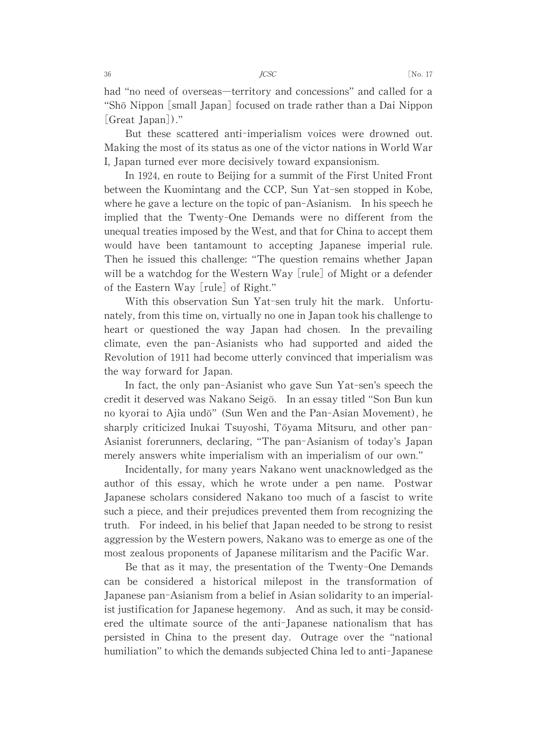had "no need of overseas—territory and concessions" and called for a "Shō Nippon [small Japan] focused on trade rather than a Dai Nippon [Great Japan])."

But these scattered anti-imperialism voices were drowned out. Making the most of its status as one of the victor nations in World War I, Japan turned ever more decisively toward expansionism.

In 1924, en route to Beijing for a summit of the First United Front between the Kuomintang and the CCP, Sun Yat-sen stopped in Kobe, where he gave a lecture on the topic of pan-Asianism. In his speech he implied that the Twenty-One Demands were no different from the unequal treaties imposed by the West, and that for China to accept them would have been tantamount to accepting Japanese imperial rule. Then he issued this challenge:"The question remains whether Japan will be a watchdog for the Western Way [rule] of Might or a defender of the Eastern Way [rule] of Right."

With this observation Sun Yat-sen truly hit the mark. Unfortunately, from this time on, virtually no one in Japan took his challenge to heart or questioned the way Japan had chosen. In the prevailing climate, even the pan-Asianists who had supported and aided the Revolution of 1911 had become utterly convinced that imperialism was the way forward for Japan.

In fact, the only pan-Asianist who gave Sun Yat-sen's speech the credit it deserved was Nakano Seigō. In an essay titled "Son Bun kun no kyorai to Ajia undō" (Sun Wen and the Pan-Asian Movement), he sharply criticized Inukai Tsuyoshi, Tōyama Mitsuru, and other pan-Asianist forerunners, declaring, "The pan-Asianism of today's Japan merely answers white imperialism with an imperialism of our own."

Incidentally, for many years Nakano went unacknowledged as the author of this essay, which he wrote under a pen name. Postwar Japanese scholars considered Nakano too much of a fascist to write such a piece, and their prejudices prevented them from recognizing the truth. For indeed, in his belief that Japan needed to be strong to resist aggression by the Western powers, Nakano was to emerge as one of the most zealous proponents of Japanese militarism and the Pacific War.

Be that as it may, the presentation of the Twenty-One Demands can be considered a historical milepost in the transformation of Japanese pan-Asianism from a belief in Asian solidarity to an imperialist justification for Japanese hegemony. And as such, it may be considered the ultimate source of the anti-Japanese nationalism that has persisted in China to the present day. Outrage over the "national humiliation" to which the demands subjected China led to anti-Japanese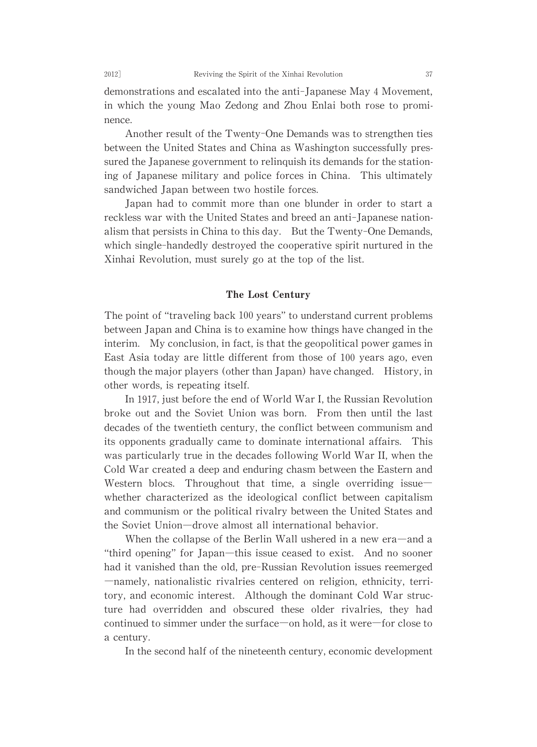demonstrations and escalated into the anti-Japanese May 4 Movement, in which the young Mao Zedong and Zhou Enlai both rose to prominence.

Another result of the Twenty-One Demands was to strengthen ties between the United States and China as Washington successfully pressured the Japanese government to relinquish its demands for the stationing of Japanese military and police forces in China. This ultimately sandwiched Japan between two hostile forces.

Japan had to commit more than one blunder in order to start a reckless war with the United States and breed an anti-Japanese nationalism that persists in China to this day. But the Twenty-One Demands, which single-handedly destroyed the cooperative spirit nurtured in the Xinhai Revolution, must surely go at the top of the list.

#### The Lost Century

The point of "traveling back 100 years" to understand current problems between Japan and China is to examine how things have changed in the interim. My conclusion, in fact, is that the geopolitical power games in East Asia today are little different from those of 100 years ago, even though the major players (other than Japan) have changed. History, in other words, is repeating itself.

In 1917, just before the end of World War I, the Russian Revolution broke out and the Soviet Union was born. From then until the last decades of the twentieth century, the conflict between communism and its opponents gradually came to dominate international affairs. This was particularly true in the decades following World War II, when the Cold War created a deep and enduring chasm between the Eastern and Western blocs. Throughout that time, a single overriding issue whether characterized as the ideological conflict between capitalism and communism or the political rivalrybetween the United States and the Soviet Union―drove almost all international behavior.

When the collapse of the Berlin Wall ushered in a new era—and a "third opening" for Japan—this issue ceased to exist. And no sooner had it vanished than the old, pre-Russian Revolution issues reemerged ―namely, nationalistic rivalries centered on religion, ethnicity, territory, and economic interest. Although the dominant Cold War structure had overridden and obscured these older rivalries, they had continued to simmer under the surface—on hold, as it were—for close to a century.

In the second half of the nineteenth century, economic development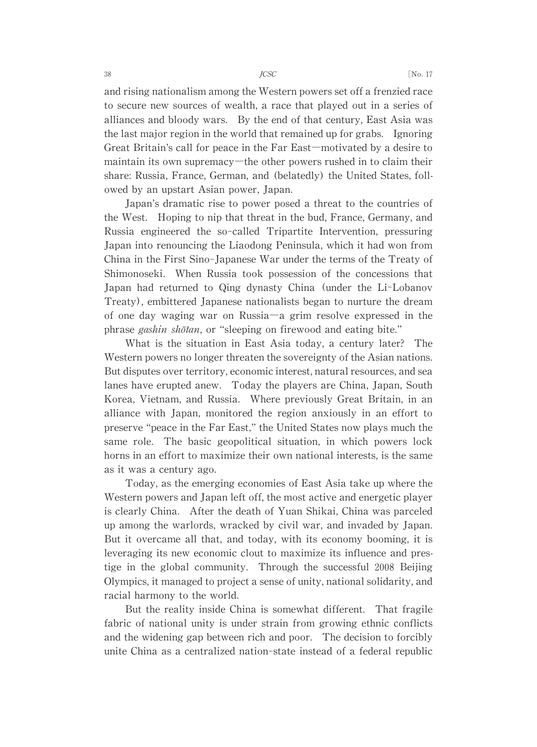and rising nationalism among the Western powers set off a frenzied race to secure new sources of wealth, a race that played out in a series of alliances and bloody wars. By the end of that century, East Asia was the last major region in the world that remained up for grabs. Ignoring Great Britain's call for peace in the Far East—motivated by a desire to maintain its own supremacy—the other powers rushed in to claim their share: Russia, France, German, and (belatedly) the United States, followed by an upstart Asian power, Japan.

Japan's dramatic rise to power posed a threat to the countries of the West. Hoping to nip that threat in the bud, France, Germany, and Russia engineered the so-called Tripartite Intervention, pressuring Japan into renouncing the Liaodong Peninsula, which it had won from China in the First Sino-Japanese War under the terms of the Treaty of Shimonoseki. When Russia took possession of the concessions that Japan had returned to Qing dynasty China (under the Li-Lobanov Treaty), embittered Japanese nationalists began to nurture the dream of one day waging war on Russia―a grim resolve expressed in the phrase *gashin shōtan*, or "sleeping on firewood and eating bite."

What is the situation in East Asia today, a century later? The Western powers no longer threaten the sovereignty of the Asian nations. But disputes over territory, economic interest, natural resources, and sea lanes have erupted anew. Today the players are China, Japan, South Korea, Vietnam, and Russia. Where previously Great Britain, in an alliance with Japan, monitored the region anxiously in an effort to preserve "peace in the Far East," the United States now plays much the same role. The basic geopolitical situation, in which powers lock horns in an effort to maximize their own national interests, is the same as it was a century ago.

Today, as the emerging economies of East Asia take up where the Western powers and Japan left off, the most active and energetic player is clearly China. After the death of Yuan Shikai, China was parceled up among the warlords, wracked by civil war, and invaded by Japan. But it overcame all that, and today, with its economy booming, it is leveraging its new economic clout to maximize its influence and prestige in the global community. Through the successful 2008 Beijing Olympics, it managed to project a sense of unity, national solidarity, and racial harmony to the world.

But the reality inside China is somewhat different. That fragile fabric of national unity is under strain from growing ethnic conflicts and the widening gap between rich and poor. The decision to forcibly unite China as a centralized nation-state instead of a federal republic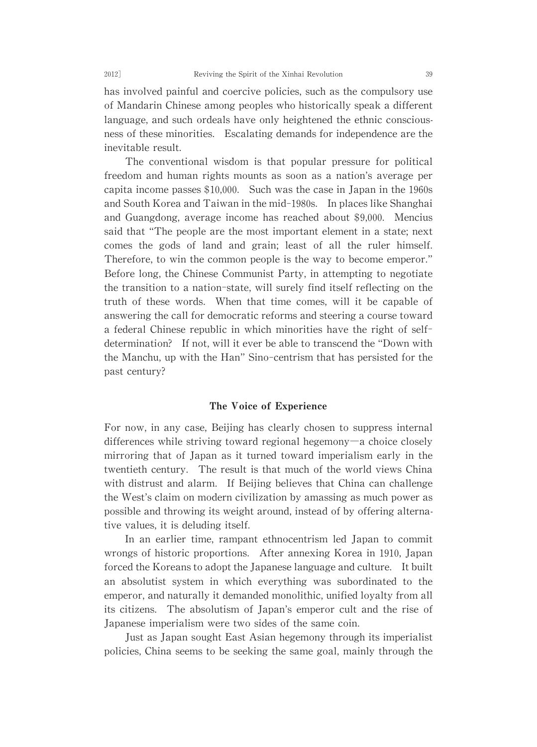has involved painful and coercive policies, such as the compulsory use ofMandarin Chinese among peoples who historicallyspeak a different language, and such ordeals have only heightened the ethnic consciousness of these minorities. Escalating demands for independence are the inevitable result.

The conventional wisdom is that popular pressure for political freedom and human rights mounts as soon as a nation's average per capita income passes  $$10,000$ . Such was the case in Japan in the 1960s and South Korea and Taiwan in the mid-1980s. In places like Shanghai and Guangdong, average income has reached about \$9,000. Mencius said that "The people are the most important element in a state; next comes the gods of land and grain; least of all the ruler himself. Therefore, to win the common people is the way to become emperor." Before long, the Chinese Communist Party, in attempting to negotiate the transition to a nation-state,will surely find itself reflecting on the truth of these words. When that time comes, will it be capable of answering the call for democratic reforms and steering a course toward a federal Chinese republic in which minorities have the right of selfdetermination? If not, will it ever be able to transcend the "Down with the Manchu, up with the Han" Sino-centrism that has persisted for the past century?

#### The Voice of Experience

For now, in any case, Beijing has clearly chosen to suppress internal differences while striving toward regional hegemony―a choice closely mirroring that of Japan as it turned toward imperialism early in the twentieth century. The result is that much of the world views China with distrust and alarm. If Beijing believes that China can challenge the West's claim on modern civilization by amassing as much power as possible and throwing its weight around, instead of by offering alternative values, it is deluding itself.

In an earlier time, rampant ethnocentrism led Japan to commit wrongs of historic proportions. After annexing Korea in 1910, Japan forced the Koreans to adopt the Japanese language and culture. It built an absolutist system in which everything was subordinated to the emperor, and naturally it demanded monolithic, unified loyalty from all its citizens. The absolutism of Japan's emperor cult and the rise of Japanese imperialism were two sides of the same coin.

Just as Japan sought East Asian hegemonythrough its imperialist policies, China seems to be seeking the same goal, mainly through the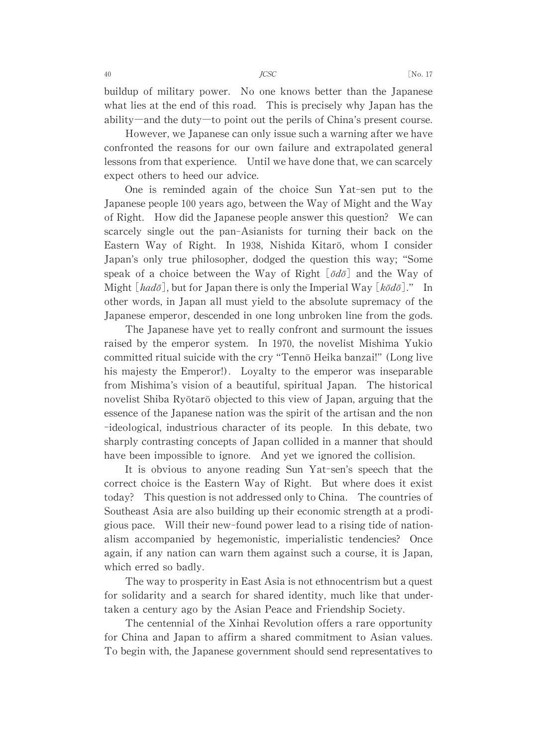buildup of military power. No one knows better than the Japanese what lies at the end of this road. This is precisely why Japan has the ability—and the duty—to point out the perils of China's present course.

However, we Japanese can only issue such a warning after we have confronted the reasons for our own failure and extrapolated general lessons from that experience. Until we have done that, we can scarcely expect others to heed our advice.

One is reminded again of the choice Sun Yat-sen put to the Japanese people 100 years ago, between the Way of Might and the Way of Right. How did the Japanese people answer this question? We can scarcely single out the pan-Asianists for turning their back on the Eastern Way of Right. In 1938, Nishida Kitarō, whom I consider Japan's only true philosopher, dodged the question this way; "Some speak of a choice between the Way of Right  $[\bar{o}d\bar{o}]$  and the Way of Might  $[had\bar{o}]$ , but for Japan there is only the Imperial Way  $[k\bar{o}d\bar{o}]$ ." In other words, in Japan all must yield to the absolute supremacy of the Japanese emperor, descended in one long unbroken line from the gods.

The Japanese have yet to really confront and surmount the issues raised by the emperor system. In 1970, the novelist Mishima Yukio committed ritual suicide with the cry "Tenno Heika banzai!" (Long live his majesty the Emperor!). Loyalty to the emperor was inseparable from Mishima's vision of a beautiful, spiritual Japan. The historical novelist Shiba Ryōtarō objected to this view of Japan, arguing that the essence of the Japanese nation was the spirit of the artisan and the non -ideological, industrious character of its people. In this debate, two sharply contrasting concepts of Japan collided in a manner that should have been impossible to ignore. And yet we ignored the collision.

It is obvious to anyone reading Sun Yat-sen's speech that the correct choice is the Eastern Way of Right. But where does it exist today? This question is not addressed only to China. The countries of Southeast Asia are also building up their economic strength at a prodigious pace. Will their new-found power lead to a rising tide of nationalism accompanied by hegemonistic, imperialistic tendencies? Once again, if any nation can warn them against such a course, it is Japan, which erred so badly.

The way to prosperity in East Asia is not ethnocentrism but a quest for solidarity and a search for shared identity, much like that undertaken a century ago by the Asian Peace and Friendship Society.

The centennial of the Xinhai Revolution offers a rare opportunity for China and Japan to affirm a shared commitment to Asian values. To begin with, the Japanese government should send representatives to